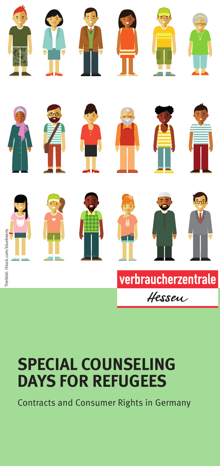



































# verbraucherzentrale Hessen

# **SPECIAL COUNSELING DAYS FOR REFUGEES**

Contracts and Consumer Rights in Germany